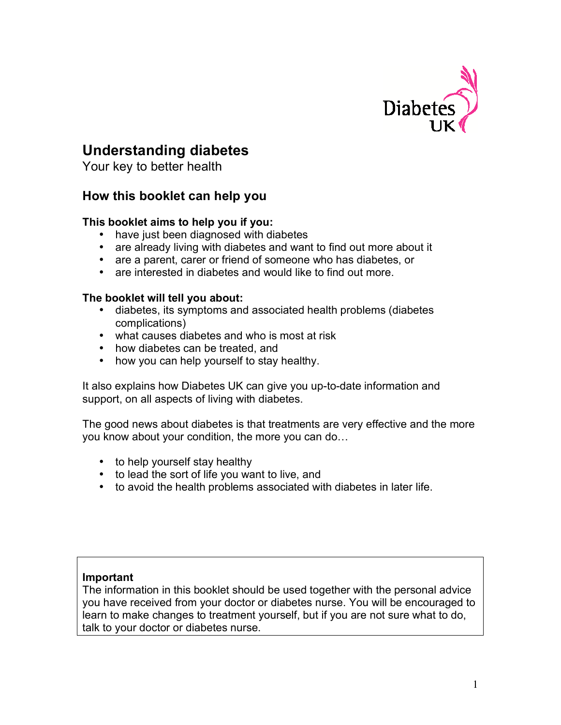

# **Understanding diabetes**

Your key to better health

## **How this booklet can help you**

## **This booklet aims to help you if you:**

- have just been diagnosed with diabetes
- are already living with diabetes and want to find out more about it
- are a parent, carer or friend of someone who has diabetes, or
- are interested in diabetes and would like to find out more.

## **The booklet will tell you about:**

- diabetes, its symptoms and associated health problems (diabetes complications)
- what causes diabetes and who is most at risk
- how diabetes can be treated, and
- how you can help yourself to stay healthy.

It also explains how Diabetes UK can give you up-to-date information and support, on all aspects of living with diabetes.

The good news about diabetes is that treatments are very effective and the more you know about your condition, the more you can do…

- to help yourself stay healthy
- to lead the sort of life you want to live, and
- to avoid the health problems associated with diabetes in later life.

#### **Important**

The information in this booklet should be used together with the personal advice you have received from your doctor or diabetes nurse. You will be encouraged to learn to make changes to treatment yourself, but if you are not sure what to do, talk to your doctor or diabetes nurse.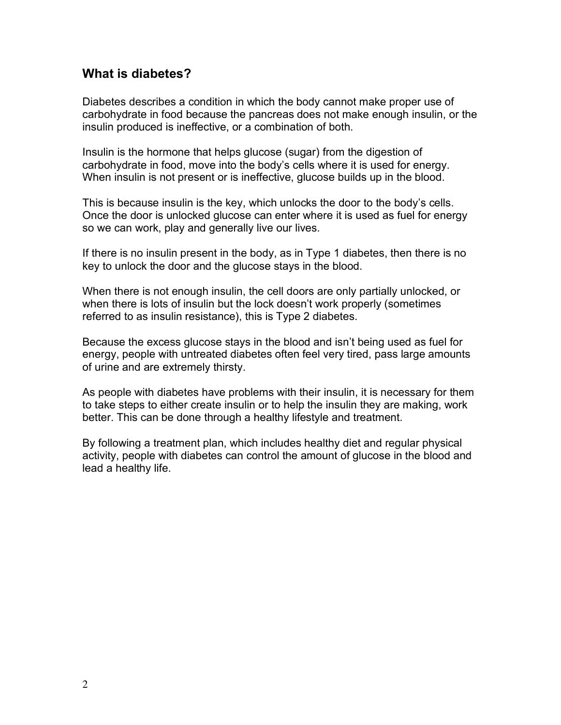## **What is diabetes?**

Diabetes describes a condition in which the body cannot make proper use of carbohydrate in food because the pancreas does not make enough insulin, or the insulin produced is ineffective, or a combination of both.

Insulin is the hormone that helps glucose (sugar) from the digestion of carbohydrate in food, move into the body's cells where it is used for energy. When insulin is not present or is ineffective, glucose builds up in the blood.

This is because insulin is the key, which unlocks the door to the body's cells. Once the door is unlocked glucose can enter where it is used as fuel for energy so we can work, play and generally live our lives.

If there is no insulin present in the body, as in Type 1 diabetes, then there is no key to unlock the door and the glucose stays in the blood.

When there is not enough insulin, the cell doors are only partially unlocked, or when there is lots of insulin but the lock doesn't work properly (sometimes referred to as insulin resistance), this is Type 2 diabetes.

Because the excess glucose stays in the blood and isn't being used as fuel for energy, people with untreated diabetes often feel very tired, pass large amounts of urine and are extremely thirsty.

As people with diabetes have problems with their insulin, it is necessary for them to take steps to either create insulin or to help the insulin they are making, work better. This can be done through a healthy lifestyle and treatment.

By following a treatment plan, which includes healthy diet and regular physical activity, people with diabetes can control the amount of glucose in the blood and lead a healthy life.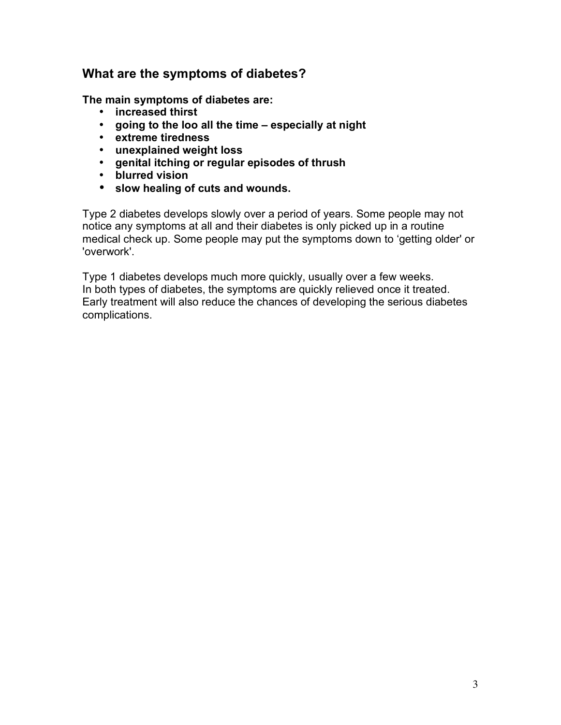## **What are the symptoms of diabetes?**

**The main symptoms of diabetes are:**

- **increased thirst**
- **going to the loo all the time – especially at night**
- **extreme tiredness**
- **unexplained weight loss**
- **genital itching or regular episodes of thrush**
- **blurred vision**
- **slow healing of cuts and wounds.**

Type 2 diabetes develops slowly over a period of years. Some people may not notice any symptoms at all and their diabetes is only picked up in a routine medical check up. Some people may put the symptoms down to 'getting older' or 'overwork'.

Type 1 diabetes develops much more quickly, usually over a few weeks. In both types of diabetes, the symptoms are quickly relieved once it treated. Early treatment will also reduce the chances of developing the serious diabetes complications.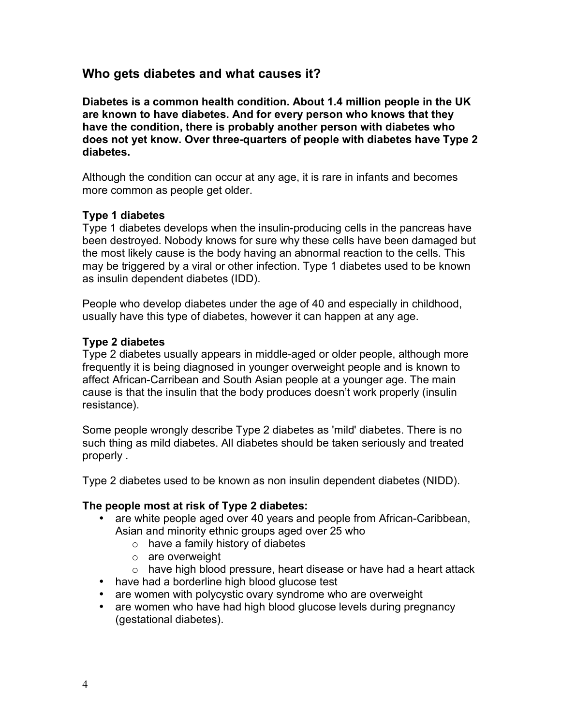## **Who gets diabetes and what causes it?**

**Diabetes is a common health condition. About 1.4 million people in the UK are known to have diabetes. And for every person who knows that they have the condition, there is probably another person with diabetes who does not yet know. Over three-quarters of people with diabetes have Type 2 diabetes.**

Although the condition can occur at any age, it is rare in infants and becomes more common as people get older.

#### **Type 1 diabetes**

Type 1 diabetes develops when the insulin-producing cells in the pancreas have been destroyed. Nobody knows for sure why these cells have been damaged but the most likely cause is the body having an abnormal reaction to the cells. This may be triggered by a viral or other infection. Type 1 diabetes used to be known as insulin dependent diabetes (IDD).

People who develop diabetes under the age of 40 and especially in childhood, usually have this type of diabetes, however it can happen at any age.

#### **Type 2 diabetes**

Type 2 diabetes usually appears in middle-aged or older people, although more frequently it is being diagnosed in younger overweight people and is known to affect African-Carribean and South Asian people at a younger age. The main cause is that the insulin that the body produces doesn't work properly (insulin resistance).

Some people wrongly describe Type 2 diabetes as 'mild' diabetes. There is no such thing as mild diabetes. All diabetes should be taken seriously and treated properly .

Type 2 diabetes used to be known as non insulin dependent diabetes (NIDD).

#### **The people most at risk of Type 2 diabetes:**

- are white people aged over 40 years and people from African-Caribbean, Asian and minority ethnic groups aged over 25 who
	- $\circ$  have a family history of diabetes
	- $\circ$  are overweight
	- o have high blood pressure, heart disease or have had a heart attack
- have had a borderline high blood glucose test
- are women with polycystic ovary syndrome who are overweight
- are women who have had high blood glucose levels during pregnancy (gestational diabetes).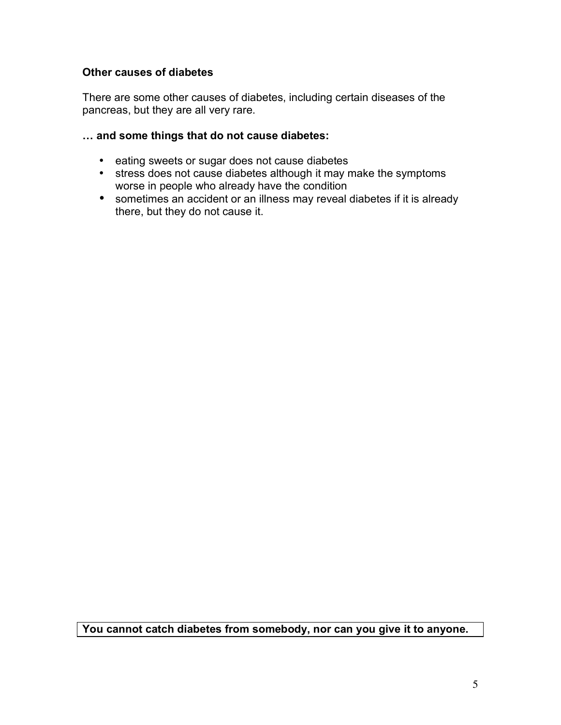## **Other causes of diabetes**

There are some other causes of diabetes, including certain diseases of the pancreas, but they are all very rare.

### **… and some things that do not cause diabetes:**

- eating sweets or sugar does not cause diabetes
- stress does not cause diabetes although it may make the symptoms worse in people who already have the condition
- sometimes an accident or an illness may reveal diabetes if it is already there, but they do not cause it.

**You cannot catch diabetes from somebody, nor can you give it to anyone.**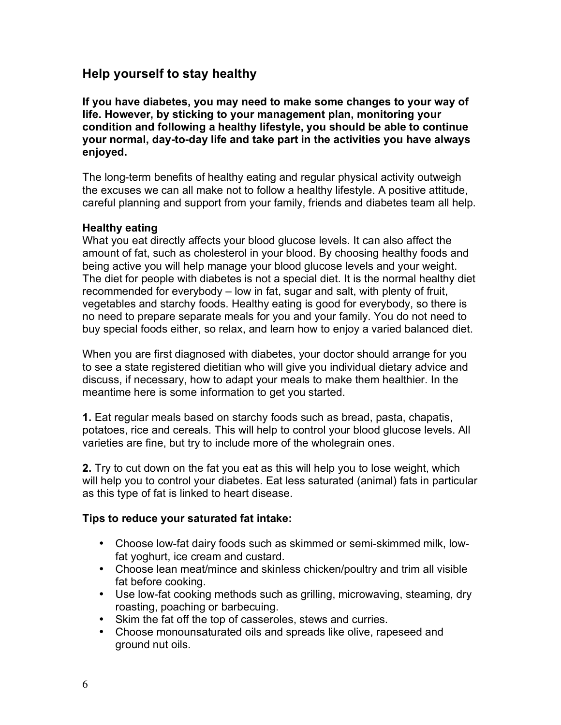# **Help yourself to stay healthy**

**If you have diabetes, you may need to make some changes to your way of life. However, by sticking to your management plan, monitoring your condition and following a healthy lifestyle, you should be able to continue your normal, day-to-day life and take part in the activities you have always enjoyed.**

The long-term benefits of healthy eating and regular physical activity outweigh the excuses we can all make not to follow a healthy lifestyle. A positive attitude, careful planning and support from your family, friends and diabetes team all help.

## **Healthy eating**

What you eat directly affects your blood glucose levels. It can also affect the amount of fat, such as cholesterol in your blood. By choosing healthy foods and being active you will help manage your blood glucose levels and your weight. The diet for people with diabetes is not a special diet. It is the normal healthy diet recommended for everybody – low in fat, sugar and salt, with plenty of fruit, vegetables and starchy foods. Healthy eating is good for everybody, so there is no need to prepare separate meals for you and your family. You do not need to buy special foods either, so relax, and learn how to enjoy a varied balanced diet.

When you are first diagnosed with diabetes, your doctor should arrange for you to see a state registered dietitian who will give you individual dietary advice and discuss, if necessary, how to adapt your meals to make them healthier. In the meantime here is some information to get you started.

**1.** Eat regular meals based on starchy foods such as bread, pasta, chapatis, potatoes, rice and cereals. This will help to control your blood glucose levels. All varieties are fine, but try to include more of the wholegrain ones.

**2.** Try to cut down on the fat you eat as this will help you to lose weight, which will help you to control your diabetes. Eat less saturated (animal) fats in particular as this type of fat is linked to heart disease.

#### **Tips to reduce your saturated fat intake:**

- Choose low-fat dairy foods such as skimmed or semi-skimmed milk, lowfat yoghurt, ice cream and custard.
- Choose lean meat/mince and skinless chicken/poultry and trim all visible fat before cooking.
- Use low-fat cooking methods such as grilling, microwaving, steaming, dry roasting, poaching or barbecuing.
- Skim the fat off the top of casseroles, stews and curries.
- Choose monounsaturated oils and spreads like olive, rapeseed and ground nut oils.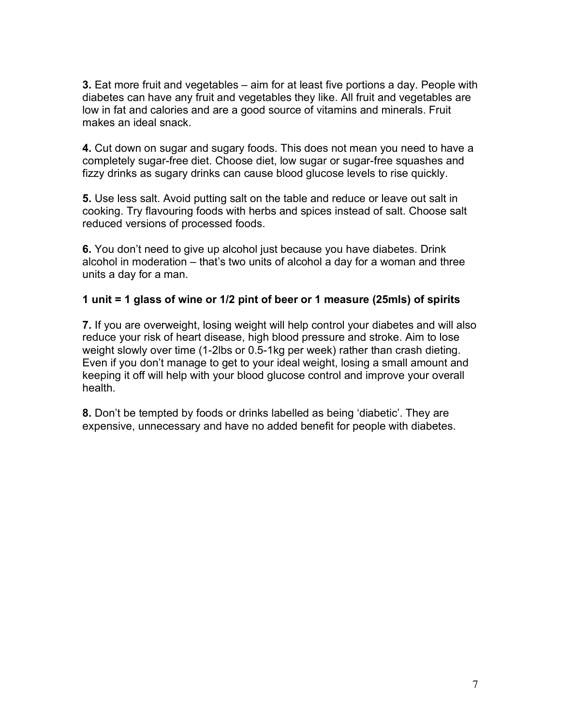**3.** Eat more fruit and vegetables – aim for at least five portions a day. People with diabetes can have any fruit and vegetables they like. All fruit and vegetables are low in fat and calories and are a good source of vitamins and minerals. Fruit makes an ideal snack.

**4.** Cut down on sugar and sugary foods. This does not mean you need to have a completely sugar-free diet. Choose diet, low sugar or sugar-free squashes and fizzy drinks as sugary drinks can cause blood glucose levels to rise quickly.

**5.** Use less salt. Avoid putting salt on the table and reduce or leave out salt in cooking. Try flavouring foods with herbs and spices instead of salt. Choose salt reduced versions of processed foods.

**6.** You don't need to give up alcohol just because you have diabetes. Drink alcohol in moderation – that's two units of alcohol a day for a woman and three units a day for a man.

## **1 unit = 1 glass of wine or 1/2 pint of beer or 1 measure (25mls) of spirits**

**7.** If you are overweight, losing weight will help control your diabetes and will also reduce your risk of heart disease, high blood pressure and stroke. Aim to lose weight slowly over time (1-2lbs or 0.5-1kg per week) rather than crash dieting. Even if you don't manage to get to your ideal weight, losing a small amount and keeping it off will help with your blood glucose control and improve your overall health.

**8.** Don't be tempted by foods or drinks labelled as being 'diabetic'. They are expensive, unnecessary and have no added benefit for people with diabetes.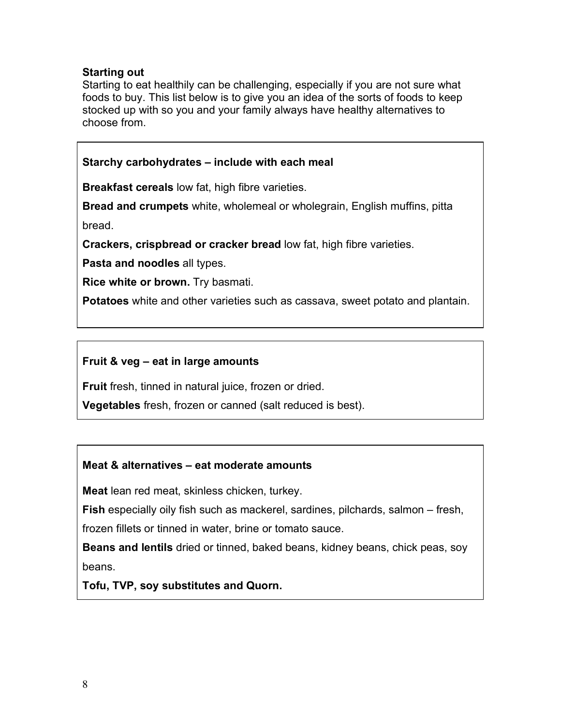## **Starting out**

Starting to eat healthily can be challenging, especially if you are not sure what foods to buy. This list below is to give you an idea of the sorts of foods to keep stocked up with so you and your family always have healthy alternatives to choose from.

**Starchy carbohydrates – include with each meal Breakfast cereals** low fat, high fibre varieties. **Bread and crumpets** white, wholemeal or wholegrain, English muffins, pitta bread. **Crackers, crispbread or cracker bread** low fat, high fibre varieties.

**Pasta and noodles** all types.

**Rice white or brown.** Try basmati.

**Potatoes** white and other varieties such as cassava, sweet potato and plantain.

## **Fruit & veg – eat in large amounts**

**Fruit** fresh, tinned in natural juice, frozen or dried.

**Vegetables** fresh, frozen or canned (salt reduced is best).

## **Meat & alternatives – eat moderate amounts**

**Meat** lean red meat, skinless chicken, turkey.

**Fish** especially oily fish such as mackerel, sardines, pilchards, salmon – fresh,

frozen fillets or tinned in water, brine or tomato sauce.

**Beans and lentils** dried or tinned, baked beans, kidney beans, chick peas, soy beans.

**Tofu, TVP, soy substitutes and Quorn.**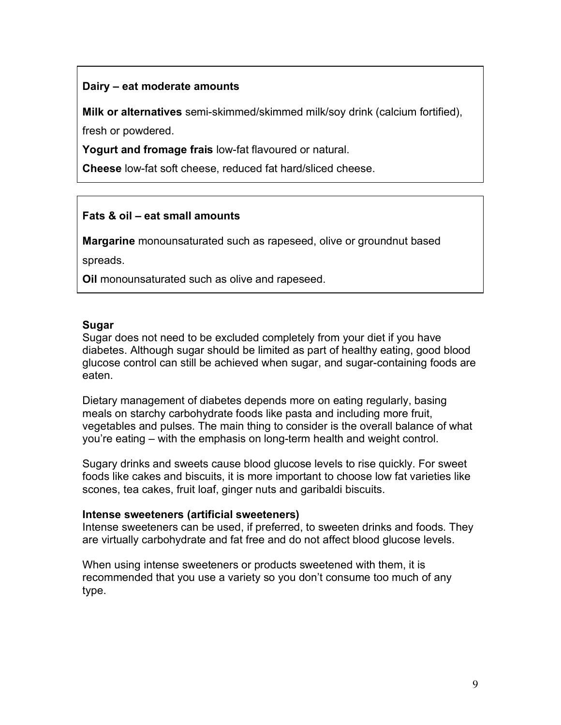## **Dairy – eat moderate amounts**

**Milk or alternatives** semi-skimmed/skimmed milk/soy drink (calcium fortified), fresh or powdered.

**Yogurt and fromage frais** low-fat flavoured or natural.

**Cheese** low-fat soft cheese, reduced fat hard/sliced cheese.

## **Fats & oil – eat small amounts**

**Margarine** monounsaturated such as rapeseed, olive or groundnut based

spreads.

**Oil** monounsaturated such as olive and rapeseed.

#### **Sugar**

Sugar does not need to be excluded completely from your diet if you have diabetes. Although sugar should be limited as part of healthy eating, good blood glucose control can still be achieved when sugar, and sugar-containing foods are eaten.

Dietary management of diabetes depends more on eating regularly, basing meals on starchy carbohydrate foods like pasta and including more fruit, vegetables and pulses. The main thing to consider is the overall balance of what you're eating – with the emphasis on long-term health and weight control.

Sugary drinks and sweets cause blood glucose levels to rise quickly. For sweet foods like cakes and biscuits, it is more important to choose low fat varieties like scones, tea cakes, fruit loaf, ginger nuts and garibaldi biscuits.

#### **Intense sweeteners (artificial sweeteners)**

Intense sweeteners can be used, if preferred, to sweeten drinks and foods. They are virtually carbohydrate and fat free and do not affect blood glucose levels.

When using intense sweeteners or products sweetened with them, it is recommended that you use a variety so you don't consume too much of any type.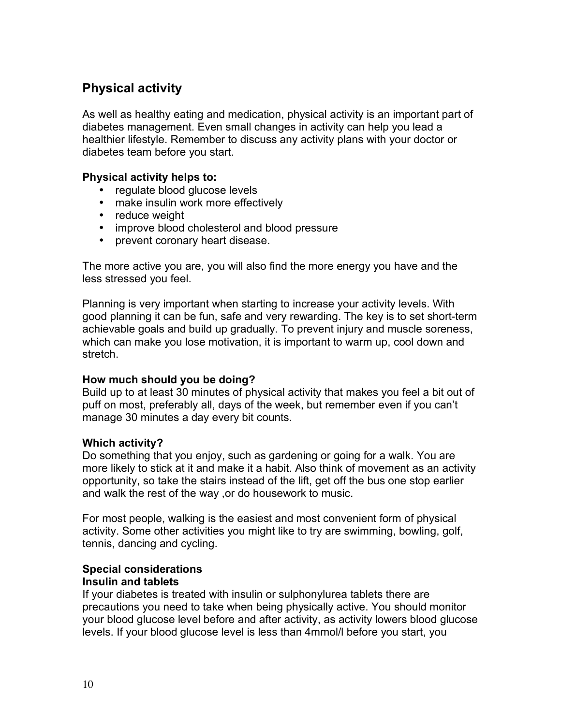# **Physical activity**

As well as healthy eating and medication, physical activity is an important part of diabetes management. Even small changes in activity can help you lead a healthier lifestyle. Remember to discuss any activity plans with your doctor or diabetes team before you start.

## **Physical activity helps to:**

- regulate blood glucose levels
- make insulin work more effectively
- reduce weight
- improve blood cholesterol and blood pressure
- prevent coronary heart disease.

The more active you are, you will also find the more energy you have and the less stressed you feel.

Planning is very important when starting to increase your activity levels. With good planning it can be fun, safe and very rewarding. The key is to set short-term achievable goals and build up gradually. To prevent injury and muscle soreness, which can make you lose motivation, it is important to warm up, cool down and stretch.

#### **How much should you be doing?**

Build up to at least 30 minutes of physical activity that makes you feel a bit out of puff on most, preferably all, days of the week, but remember even if you can't manage 30 minutes a day every bit counts.

#### **Which activity?**

Do something that you enjoy, such as gardening or going for a walk. You are more likely to stick at it and make it a habit. Also think of movement as an activity opportunity, so take the stairs instead of the lift, get off the bus one stop earlier and walk the rest of the way ,or do housework to music.

For most people, walking is the easiest and most convenient form of physical activity. Some other activities you might like to try are swimming, bowling, golf, tennis, dancing and cycling.

#### **Special considerations Insulin and tablets**

If your diabetes is treated with insulin or sulphonylurea tablets there are precautions you need to take when being physically active. You should monitor your blood glucose level before and after activity, as activity lowers blood glucose levels. If your blood glucose level is less than 4mmol/l before you start, you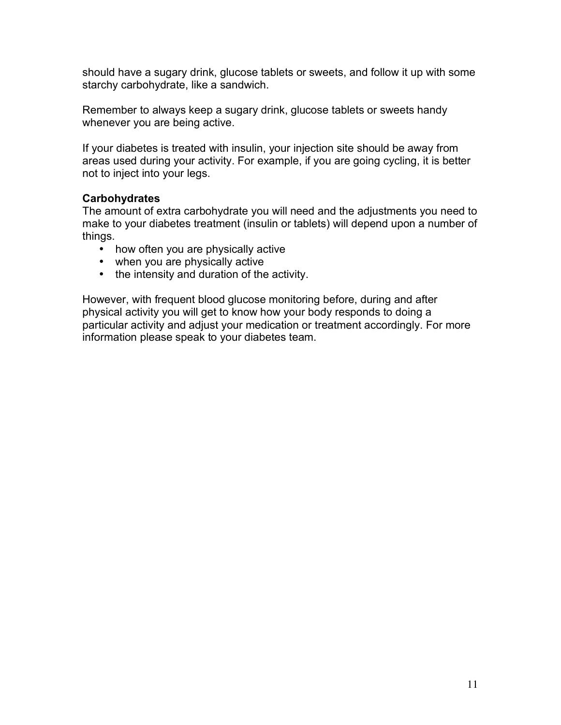should have a sugary drink, glucose tablets or sweets, and follow it up with some starchy carbohydrate, like a sandwich.

Remember to always keep a sugary drink, glucose tablets or sweets handy whenever you are being active.

If your diabetes is treated with insulin, your injection site should be away from areas used during your activity. For example, if you are going cycling, it is better not to inject into your legs.

## **Carbohydrates**

The amount of extra carbohydrate you will need and the adjustments you need to make to your diabetes treatment (insulin or tablets) will depend upon a number of things.

- how often you are physically active
- when you are physically active
- the intensity and duration of the activity.

However, with frequent blood glucose monitoring before, during and after physical activity you will get to know how your body responds to doing a particular activity and adjust your medication or treatment accordingly. For more information please speak to your diabetes team.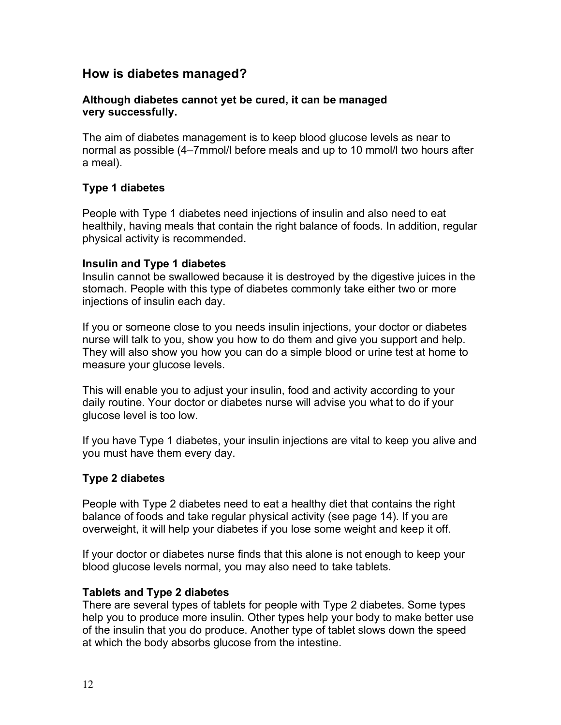## **How is diabetes managed?**

#### **Although diabetes cannot yet be cured, it can be managed very successfully.**

The aim of diabetes management is to keep blood glucose levels as near to normal as possible (4–7mmol/l before meals and up to 10 mmol/l two hours after a meal).

## **Type 1 diabetes**

People with Type 1 diabetes need injections of insulin and also need to eat healthily, having meals that contain the right balance of foods. In addition, regular physical activity is recommended.

#### **Insulin and Type 1 diabetes**

Insulin cannot be swallowed because it is destroyed by the digestive juices in the stomach. People with this type of diabetes commonly take either two or more injections of insulin each day.

If you or someone close to you needs insulin injections, your doctor or diabetes nurse will talk to you, show you how to do them and give you support and help. They will also show you how you can do a simple blood or urine test at home to measure your glucose levels.

This will enable you to adjust your insulin, food and activity according to your daily routine. Your doctor or diabetes nurse will advise you what to do if your glucose level is too low.

If you have Type 1 diabetes, your insulin injections are vital to keep you alive and you must have them every day.

#### **Type 2 diabetes**

People with Type 2 diabetes need to eat a healthy diet that contains the right balance of foods and take regular physical activity (see page 14). If you are overweight, it will help your diabetes if you lose some weight and keep it off.

If your doctor or diabetes nurse finds that this alone is not enough to keep your blood glucose levels normal, you may also need to take tablets.

#### **Tablets and Type 2 diabetes**

There are several types of tablets for people with Type 2 diabetes. Some types help you to produce more insulin. Other types help your body to make better use of the insulin that you do produce. Another type of tablet slows down the speed at which the body absorbs glucose from the intestine.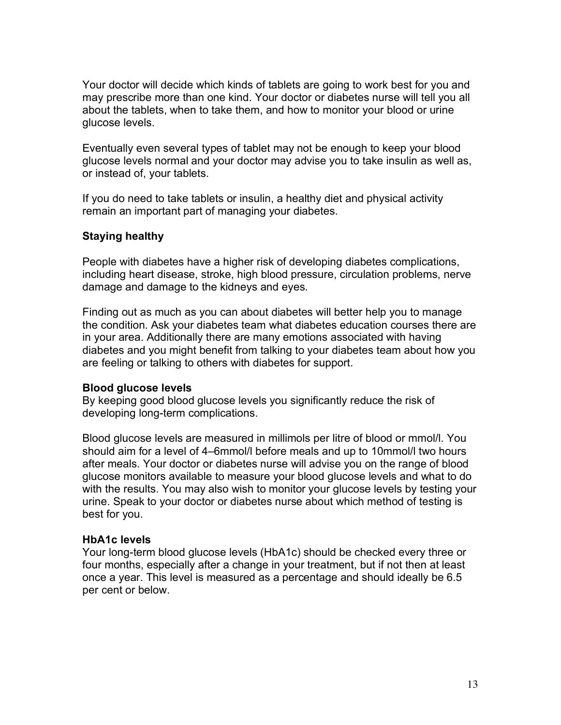Your doctor will decide which kinds of tablets are going to work best for you and may prescribe more than one kind. Your doctor or diabetes nurse will tell you all about the tablets, when to take them, and how to monitor your blood or urine glucose levels.

Eventually even several types of tablet may not be enough to keep your blood glucose levels normal and your doctor may advise you to take insulin as well as, or instead of, your tablets.

If you do need to take tablets or insulin, a healthy diet and physical activity remain an important part of managing your diabetes.

## **Staying healthy**

People with diabetes have a higher risk of developing diabetes complications, including heart disease, stroke, high blood pressure, circulation problems, nerve damage and damage to the kidneys and eyes.

Finding out as much as you can about diabetes will better help you to manage the condition. Ask your diabetes team what diabetes education courses there are in your area. Additionally there are many emotions associated with having diabetes and you might benefit from talking to your diabetes team about how you are feeling or talking to others with diabetes for support.

#### **Blood glucose levels**

By keeping good blood glucose levels you significantly reduce the risk of developing long-term complications.

Blood glucose levels are measured in millimols per litre of blood or mmol/l. You should aim for a level of 4–6mmol/l before meals and up to 10mmol/l two hours after meals. Your doctor or diabetes nurse will advise you on the range of blood glucose monitors available to measure your blood glucose levels and what to do with the results. You may also wish to monitor your glucose levels by testing your urine. Speak to your doctor or diabetes nurse about which method of testing is best for you.

#### **HbA1c levels**

Your long-term blood glucose levels (HbA1c) should be checked every three or four months, especially after a change in your treatment, but if not then at least once a year. This level is measured as a percentage and should ideally be 6.5 per cent or below.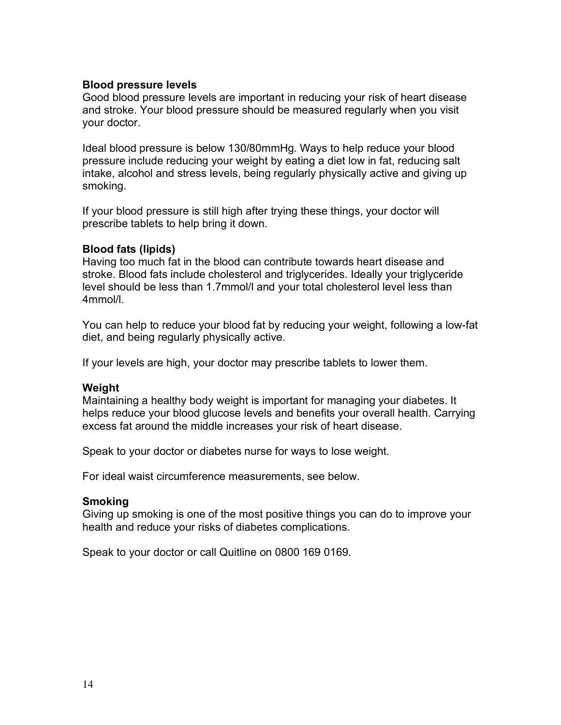#### **Blood pressure levels**

Good blood pressure levels are important in reducing your risk of heart disease and stroke. Your blood pressure should be measured regularly when you visit your doctor.

Ideal blood pressure is below 130/80mmHg. Ways to help reduce your blood pressure include reducing your weight by eating a diet low in fat, reducing salt intake, alcohol and stress levels, being regularly physically active and giving up smoking.

If your blood pressure is still high after trying these things, your doctor will prescribe tablets to help bring it down.

#### **Blood fats (lipids)**

Having too much fat in the blood can contribute towards heart disease and stroke. Blood fats include cholesterol and triglycerides. Ideally your triglyceride level should be less than 1.7mmol/l and your total cholesterol level less than 4mmol/l.

You can help to reduce your blood fat by reducing your weight, following a low-fat diet, and being regularly physically active.

If your levels are high, your doctor may prescribe tablets to lower them.

#### **Weight**

Maintaining a healthy body weight is important for managing your diabetes. It helps reduce your blood glucose levels and benefits your overall health. Carrying excess fat around the middle increases your risk of heart disease.

Speak to your doctor or diabetes nurse for ways to lose weight.

For ideal waist circumference measurements, see below.

#### **Smoking**

Giving up smoking is one of the most positive things you can do to improve your health and reduce your risks of diabetes complications.

Speak to your doctor or call Quitline on 0800 169 0169.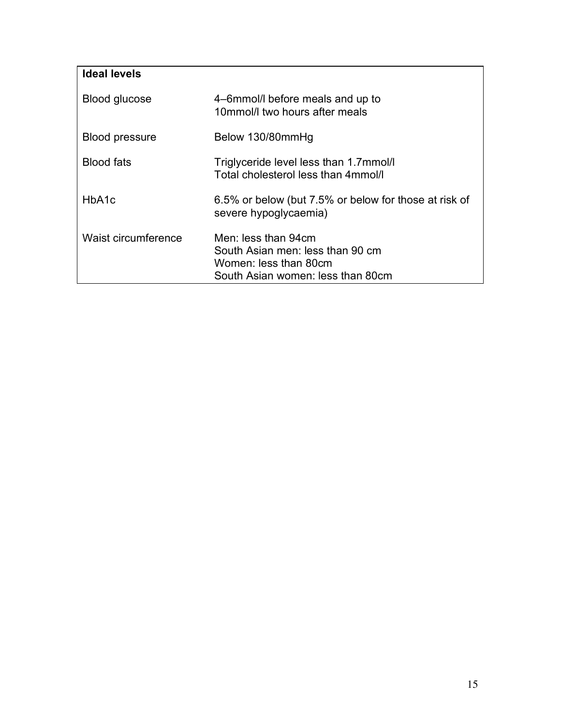| Ideal levels          |                                                                                                                       |
|-----------------------|-----------------------------------------------------------------------------------------------------------------------|
| Blood glucose         | 4-6mmol/l before meals and up to<br>10mmol/l two hours after meals                                                    |
| <b>Blood pressure</b> | Below 130/80mmHg                                                                                                      |
| <b>Blood fats</b>     | Triglyceride level less than 1.7mmol/l<br>Total cholesterol less than 4mmol/l                                         |
| HbA1c                 | 6.5% or below (but 7.5% or below for those at risk of<br>severe hypoglycaemia)                                        |
| Waist circumference   | Men: less than 94cm<br>South Asian men: less than 90 cm<br>Women: less than 80cm<br>South Asian women: less than 80cm |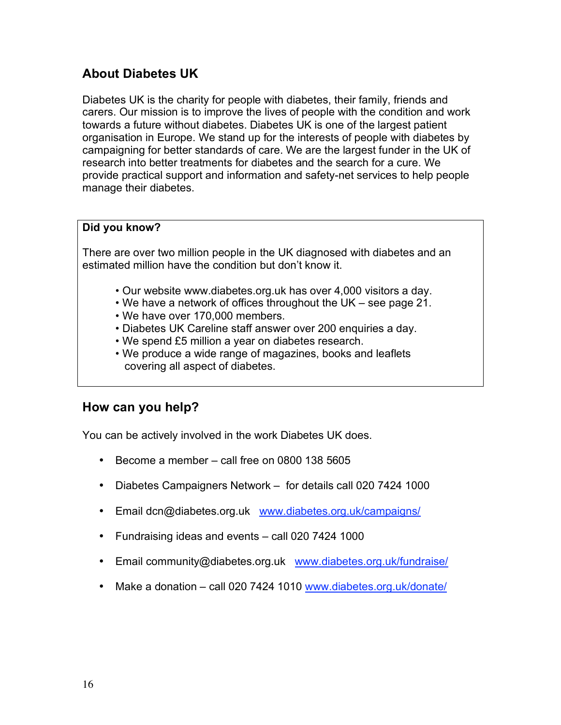# **About Diabetes UK**

Diabetes UK is the charity for people with diabetes, their family, friends and carers. Our mission is to improve the lives of people with the condition and work towards a future without diabetes. Diabetes UK is one of the largest patient organisation in Europe. We stand up for the interests of people with diabetes by campaigning for better standards of care. We are the largest funder in the UK of research into better treatments for diabetes and the search for a cure. We provide practical support and information and safety-net services to help people manage their diabetes.

#### **Did you know?**

There are over two million people in the UK diagnosed with diabetes and an estimated million have the condition but don't know it.

- Our website www.diabetes.org.uk has over 4,000 visitors a day.
- We have a network of offices throughout the UK see page 21.
- We have over 170,000 members.
- Diabetes UK Careline staff answer over 200 enquiries a day.
- We spend £5 million a year on diabetes research.
- We produce a wide range of magazines, books and leaflets covering all aspect of diabetes.

## **How can you help?**

You can be actively involved in the work Diabetes UK does.

- Become a member call free on 0800 138 5605
- Diabetes Campaigners Network for details call 020 7424 1000
- Email dcn@diabetes.org.uk www.diabetes.org.uk/campaigns/
- Fundraising ideas and events call 020 7424 1000
- Email community@diabetes.org.uk www.diabetes.org.uk/fundraise/
- Make a donation call 020 7424 1010 www.diabetes.org.uk/donate/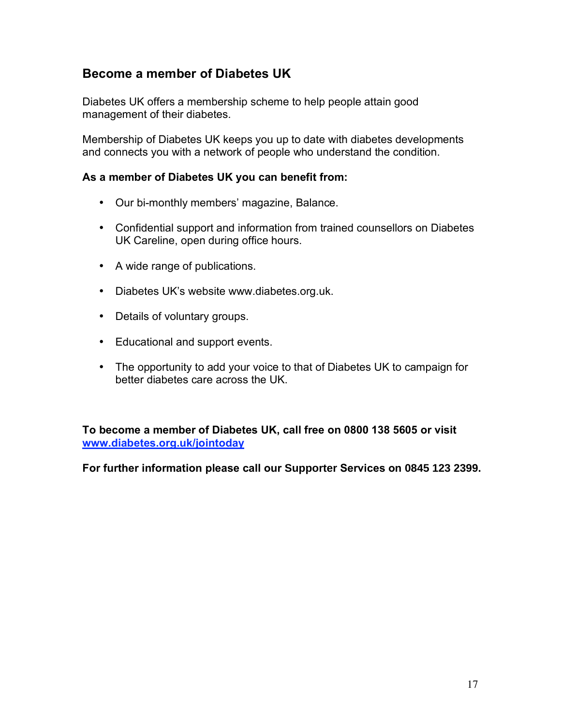# **Become a member of Diabetes UK**

Diabetes UK offers a membership scheme to help people attain good management of their diabetes.

Membership of Diabetes UK keeps you up to date with diabetes developments and connects you with a network of people who understand the condition.

### **As a member of Diabetes UK you can benefit from:**

- Our bi-monthly members' magazine, Balance.
- Confidential support and information from trained counsellors on Diabetes UK Careline, open during office hours.
- A wide range of publications.
- Diabetes UK's website www.diabetes.org.uk.
- Details of voluntary groups.
- Educational and support events.
- The opportunity to add your voice to that of Diabetes UK to campaign for better diabetes care across the UK.

**To become a member of Diabetes UK, call free on 0800 138 5605 or visit www.diabetes.org.uk/jointoday**

**For further information please call our Supporter Services on 0845 123 2399.**